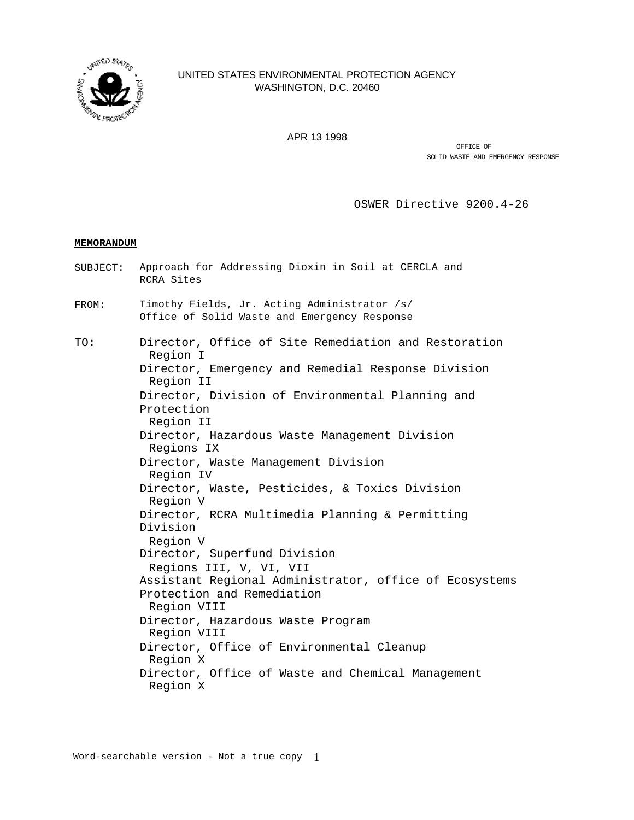

# UNITED STATES ENVIRONMENTAL PROTECTION AGENCY WASHINGTON, D.C. 20460

APR 13 1998

OFFICE OF SOLID WASTE AND EMERGENCY RESPONSE

OSWER Directive 9200.4-26

## **MEMORANDUM**

SUBJECT: Approach for Addressing Dioxin in Soil at CERCLA and RCRA Sites FROM: Timothy Fields, Jr. Acting Administrator /s/ Office of Solid Waste and Emergency Response TO: Director, Office of Site Remediation and Restoration Region I Director, Emergency and Remedial Response Division Region II Director, Division of Environmental Planning and Protection Region II Director, Hazardous Waste Management Division Regions IX Director, Waste Management Division Region IV Director, Waste, Pesticides, & Toxics Division Region V Director, RCRA Multimedia Planning & Permitting Division Region V Director, Superfund Division Regions III, V, VI, VII Assistant Regional Administrator, office of Ecosystems Protection and Remediation Region VIII Director, Hazardous Waste Program Region VIII Director, Office of Environmental Cleanup Region X Director, Office of Waste and Chemical Management Region X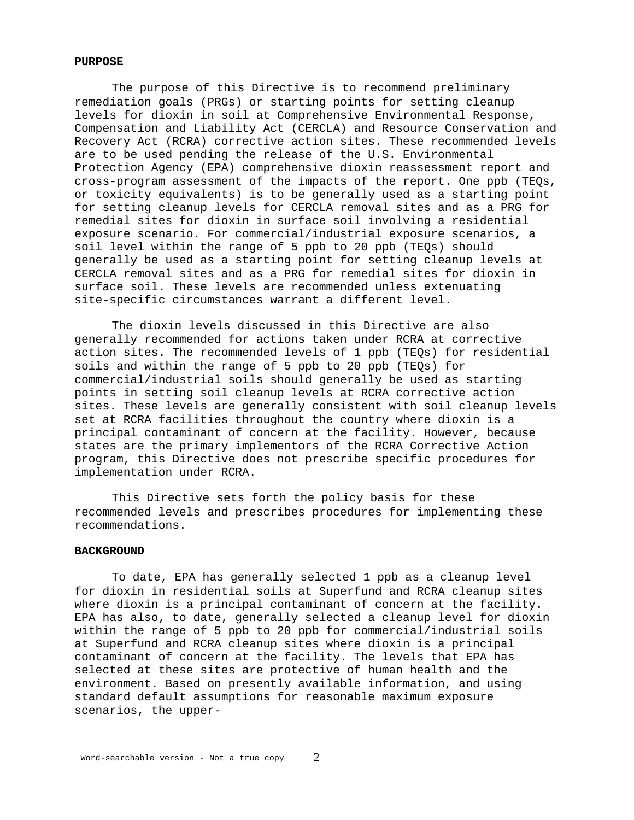# **PURPOSE**

The purpose of this Directive is to recommend preliminary remediation goals (PRGs) or starting points for setting cleanup levels for dioxin in soil at Comprehensive Environmental Response, Compensation and Liability Act (CERCLA) and Resource Conservation and Recovery Act (RCRA) corrective action sites. These recommended levels are to be used pending the release of the U.S. Environmental Protection Agency (EPA) comprehensive dioxin reassessment report and cross-program assessment of the impacts of the report. One ppb (TEQs, or toxicity equivalents) is to be generally used as a starting point for setting cleanup levels for CERCLA removal sites and as a PRG for remedial sites for dioxin in surface soil involving a residential exposure scenario. For commercial/industrial exposure scenarios, a soil level within the range of 5 ppb to 20 ppb (TEQs) should generally be used as a starting point for setting cleanup levels at CERCLA removal sites and as a PRG for remedial sites for dioxin in surface soil. These levels are recommended unless extenuating site-specific circumstances warrant a different level.

The dioxin levels discussed in this Directive are also generally recommended for actions taken under RCRA at corrective action sites. The recommended levels of 1 ppb (TEQs) for residential soils and within the range of 5 ppb to 20 ppb (TEQs) for commercial/industrial soils should generally be used as starting points in setting soil cleanup levels at RCRA corrective action sites. These levels are generally consistent with soil cleanup levels set at RCRA facilities throughout the country where dioxin is a principal contaminant of concern at the facility. However, because states are the primary implementors of the RCRA Corrective Action program, this Directive does not prescribe specific procedures for implementation under RCRA.

This Directive sets forth the policy basis for these recommended levels and prescribes procedures for implementing these recommendations.

### **BACKGROUND**

To date, EPA has generally selected 1 ppb as a cleanup level for dioxin in residential soils at Superfund and RCRA cleanup sites where dioxin is a principal contaminant of concern at the facility. EPA has also, to date, generally selected a cleanup level for dioxin within the range of 5 ppb to 20 ppb for commercial/industrial soils at Superfund and RCRA cleanup sites where dioxin is a principal contaminant of concern at the facility. The levels that EPA has selected at these sites are protective of human health and the environment. Based on presently available information, and using standard default assumptions for reasonable maximum exposure scenarios, the upper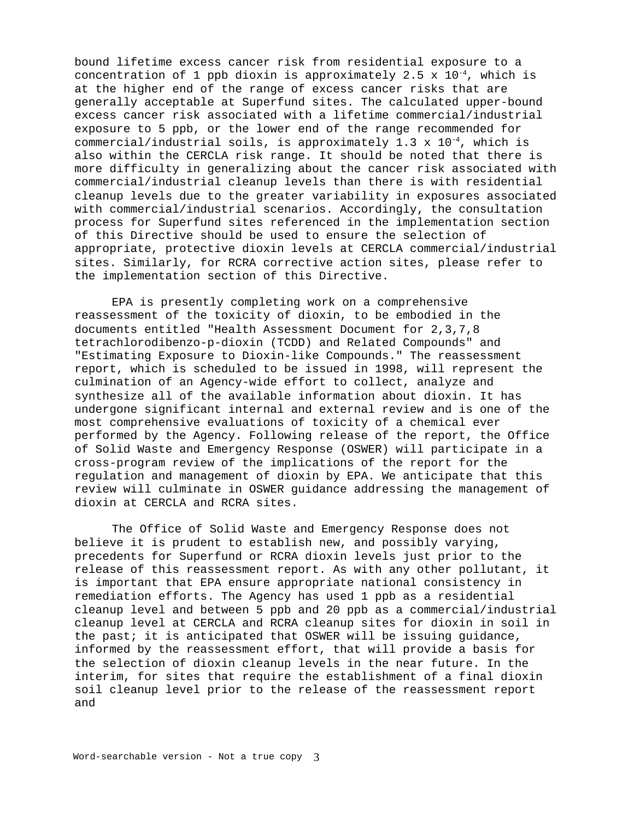bound lifetime excess cancer risk from residential exposure to a concentration of 1 ppb dioxin is approximately 2.5  $\times$  10<sup>-4</sup>, which is at the higher end of the range of excess cancer risks that are generally acceptable at Superfund sites. The calculated upper-bound excess cancer risk associated with a lifetime commercial/industrial exposure to 5 ppb, or the lower end of the range recommended for commercial/industrial soils, is approximately 1.3 x 10-4, which is also within the CERCLA risk range. It should be noted that there is more difficulty in generalizing about the cancer risk associated with commercial/industrial cleanup levels than there is with residential cleanup levels due to the greater variability in exposures associated with commercial/industrial scenarios. Accordingly, the consultation process for Superfund sites referenced in the implementation section of this Directive should be used to ensure the selection of appropriate, protective dioxin levels at CERCLA commercial/industrial sites. Similarly, for RCRA corrective action sites, please refer to the implementation section of this Directive.

EPA is presently completing work on a comprehensive reassessment of the toxicity of dioxin, to be embodied in the documents entitled "Health Assessment Document for 2,3,7,8 tetrachlorodibenzo-p-dioxin (TCDD) and Related Compounds" and "Estimating Exposure to Dioxin-like Compounds." The reassessment report, which is scheduled to be issued in 1998, will represent the culmination of an Agency-wide effort to collect, analyze and synthesize all of the available information about dioxin. It has undergone significant internal and external review and is one of the most comprehensive evaluations of toxicity of a chemical ever performed by the Agency. Following release of the report, the Office of Solid Waste and Emergency Response (OSWER) will participate in a cross-program review of the implications of the report for the regulation and management of dioxin by EPA. We anticipate that this review will culminate in OSWER guidance addressing the management of dioxin at CERCLA and RCRA sites.

The Office of Solid Waste and Emergency Response does not believe it is prudent to establish new, and possibly varying, precedents for Superfund or RCRA dioxin levels just prior to the release of this reassessment report. As with any other pollutant, it is important that EPA ensure appropriate national consistency in remediation efforts. The Agency has used 1 ppb as a residential cleanup level and between 5 ppb and 20 ppb as a commercial/industrial cleanup level at CERCLA and RCRA cleanup sites for dioxin in soil in the past; it is anticipated that OSWER will be issuing guidance, informed by the reassessment effort, that will provide a basis for the selection of dioxin cleanup levels in the near future. In the interim, for sites that require the establishment of a final dioxin soil cleanup level prior to the release of the reassessment report and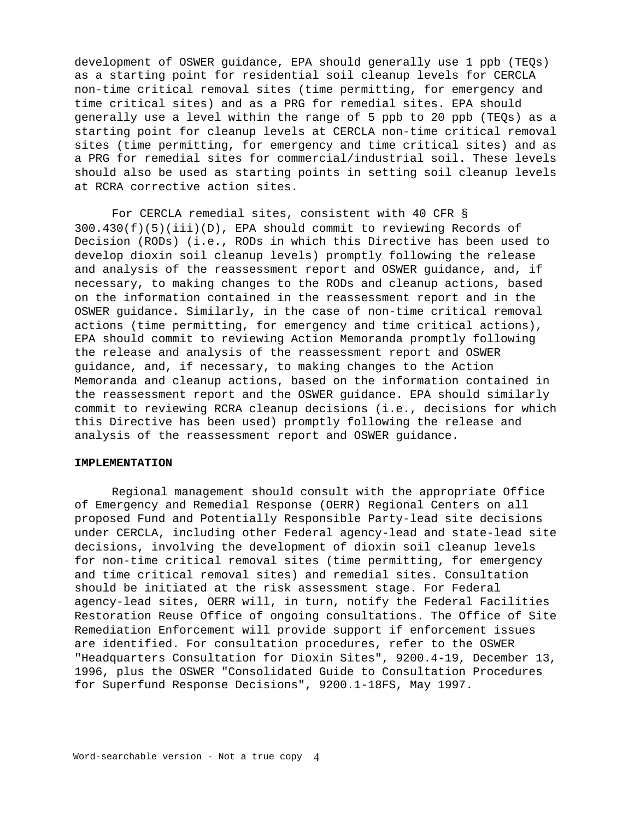development of OSWER guidance, EPA should generally use 1 ppb (TEQs) as a starting point for residential soil cleanup levels for CERCLA non-time critical removal sites (time permitting, for emergency and time critical sites) and as a PRG for remedial sites. EPA should generally use a level within the range of 5 ppb to 20 ppb (TEQs) as a starting point for cleanup levels at CERCLA non-time critical removal sites (time permitting, for emergency and time critical sites) and as a PRG for remedial sites for commercial/industrial soil. These levels should also be used as starting points in setting soil cleanup levels at RCRA corrective action sites.

For CERCLA remedial sites, consistent with 40 CFR §  $300.430(f)(5)(iii)(D)$ , EPA should commit to reviewing Records of Decision (RODs) (i.e., RODs in which this Directive has been used to develop dioxin soil cleanup levels) promptly following the release and analysis of the reassessment report and OSWER guidance, and, if necessary, to making changes to the RODs and cleanup actions, based on the information contained in the reassessment report and in the OSWER guidance. Similarly, in the case of non-time critical removal actions (time permitting, for emergency and time critical actions), EPA should commit to reviewing Action Memoranda promptly following the release and analysis of the reassessment report and OSWER guidance, and, if necessary, to making changes to the Action Memoranda and cleanup actions, based on the information contained in the reassessment report and the OSWER guidance. EPA should similarly commit to reviewing RCRA cleanup decisions (i.e., decisions for which this Directive has been used) promptly following the release and analysis of the reassessment report and OSWER guidance.

#### **IMPLEMENTATION**

Regional management should consult with the appropriate Office of Emergency and Remedial Response (OERR) Regional Centers on all proposed Fund and Potentially Responsible Party-lead site decisions under CERCLA, including other Federal agency-lead and state-lead site decisions, involving the development of dioxin soil cleanup levels for non-time critical removal sites (time permitting, for emergency and time critical removal sites) and remedial sites. Consultation should be initiated at the risk assessment stage. For Federal agency-lead sites, OERR will, in turn, notify the Federal Facilities Restoration Reuse Office of ongoing consultations. The Office of Site Remediation Enforcement will provide support if enforcement issues are identified. For consultation procedures, refer to the OSWER "Headquarters Consultation for Dioxin Sites", 9200.4-19, December 13, 1996, plus the OSWER "Consolidated Guide to Consultation Procedures for Superfund Response Decisions", 9200.1-18FS, May 1997.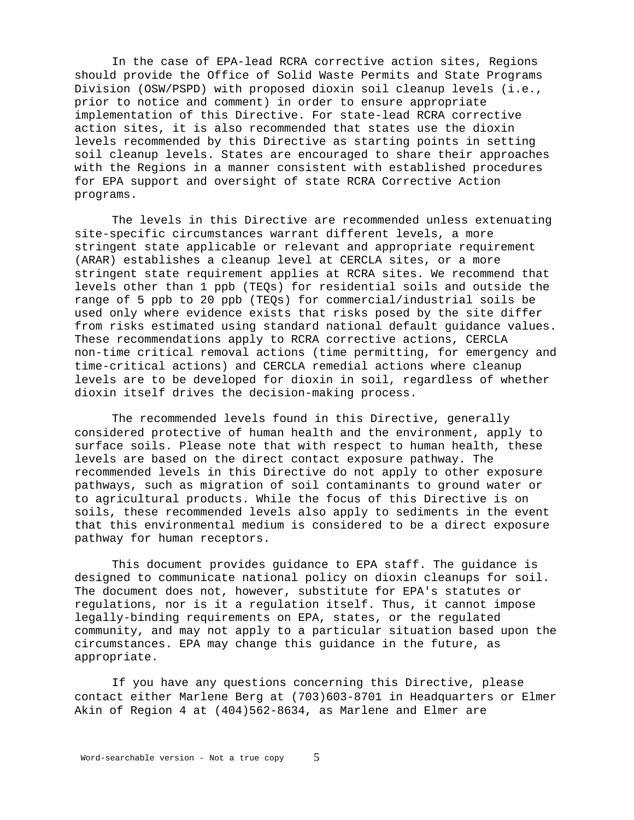In the case of EPA-lead RCRA corrective action sites, Regions should provide the Office of Solid Waste Permits and State Programs Division (OSW/PSPD) with proposed dioxin soil cleanup levels (i.e., prior to notice and comment) in order to ensure appropriate implementation of this Directive. For state-lead RCRA corrective action sites, it is also recommended that states use the dioxin levels recommended by this Directive as starting points in setting soil cleanup levels. States are encouraged to share their approaches with the Regions in a manner consistent with established procedures for EPA support and oversight of state RCRA Corrective Action programs.

The levels in this Directive are recommended unless extenuating site-specific circumstances warrant different levels, a more stringent state applicable or relevant and appropriate requirement (ARAR) establishes a cleanup level at CERCLA sites, or a more stringent state requirement applies at RCRA sites. We recommend that levels other than 1 ppb (TEQs) for residential soils and outside the range of 5 ppb to 20 ppb (TEQs) for commercial/industrial soils be used only where evidence exists that risks posed by the site differ from risks estimated using standard national default guidance values. These recommendations apply to RCRA corrective actions, CERCLA non-time critical removal actions (time permitting, for emergency and time-critical actions) and CERCLA remedial actions where cleanup levels are to be developed for dioxin in soil, regardless of whether dioxin itself drives the decision-making process.

The recommended levels found in this Directive, generally considered protective of human health and the environment, apply to surface soils. Please note that with respect to human health, these levels are based on the direct contact exposure pathway. The recommended levels in this Directive do not apply to other exposure pathways, such as migration of soil contaminants to ground water or to agricultural products. While the focus of this Directive is on soils, these recommended levels also apply to sediments in the event that this environmental medium is considered to be a direct exposure pathway for human receptors.

This document provides guidance to EPA staff. The guidance is designed to communicate national policy on dioxin cleanups for soil. The document does not, however, substitute for EPA's statutes or regulations, nor is it a regulation itself. Thus, it cannot impose legally-binding requirements on EPA, states, or the regulated community, and may not apply to a particular situation based upon the circumstances. EPA may change this guidance in the future, as appropriate.

If you have any questions concerning this Directive, please contact either Marlene Berg at (703)603-8701 in Headquarters or Elmer Akin of Region 4 at (404)562-8634, as Marlene and Elmer are